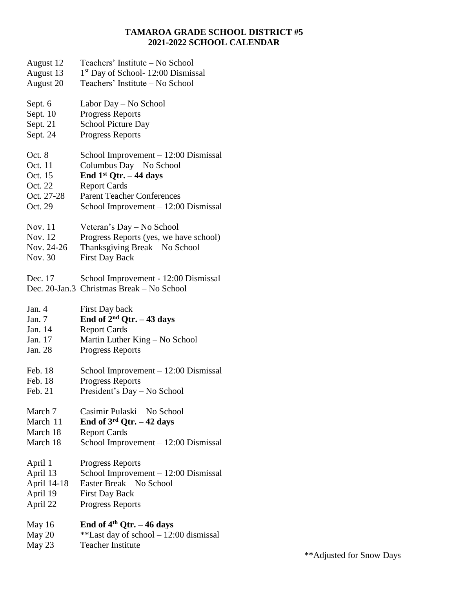## **TAMAROA GRADE SCHOOL DISTRICT #5 2021-2022 SCHOOL CALENDAR**

- August 12 Teachers' Institute No School
- August 13 1<sup>st</sup> Day of School- 12:00 Dismissal
- August 20 Teachers' Institute No School
- Sept. 6 Labor Day No School
- Sept. 10 Progress Reports
- Sept. 21 School Picture Day
- Sept. 24 Progress Reports
- Oct. 8 School Improvement 12:00 Dismissal
- Oct. 11 Columbus Day No School
- Oct. 15 **End 1st Qtr. – 44 days**
- Oct. 22 Report Cards
- Oct. 27-28 Parent Teacher Conferences
- Oct. 29 School Improvement 12:00 Dismissal
- Nov. 11 Veteran's Day No School
- Nov. 12 Progress Reports (yes, we have school)
- Nov. 24-26 Thanksgiving Break No School
- Nov. 30 First Day Back
- Dec. 17 School Improvement 12:00 Dismissal
- Dec. 20-Jan.3 Christmas Break No School
- Jan. 4 First Day back
- Jan. 7 **End of 2nd Qtr. – 43 days**
- Jan. 14 Report Cards
- Jan. 17 Martin Luther King No School
- Jan. 28 Progress Reports
- Feb. 18 School Improvement 12:00 Dismissal
- Feb. 18 Progress Reports
- Feb. 21 President's Day No School
- March 7 Casimir Pulaski No School
- March 11 **End of 3rd Qtr. – 42 days**
- March 18 Report Cards
- March 18 School Improvement 12:00 Dismissal
- April 1 Progress Reports
- April 13 School Improvement 12:00 Dismissal
- April 14-18 Easter Break No School
- April 19 First Day Back
- April 22 Progress Reports
- May 16 **End of 4th Qtr. – 46 days**
- May 20  $**$  Last day of school 12:00 dismissal
- May 23 Teacher Institute